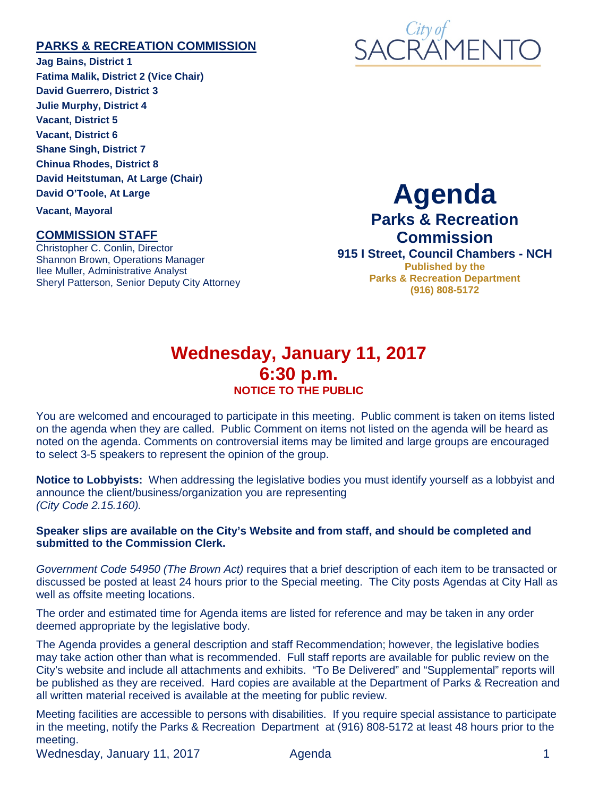#### **PARKS & RECREATION COMMISSION**

**Jag Bains, District 1 Fatima Malik, District 2 (Vice Chair) David Guerrero, District 3 Julie Murphy, District 4 Vacant, District 5 Vacant, District 6 Shane Singh, District 7 Chinua Rhodes, District 8 David Heitstuman, At Large (Chair) David O'Toole, At Large Vacant, Mayoral**

#### **COMMISSION STAFF**

Christopher C. Conlin, Director Shannon Brown, Operations Manager Ilee Muller, Administrative Analyst Sheryl Patterson, Senior Deputy City Attorney



# **Agenda**

# **Parks & Recreation Commission**

**915 I Street, Council Chambers - NCH Published by the Parks & Recreation Department (916) 808-5172**

## **Wednesday, January 11, 2017 6:30 p.m. NOTICE TO THE PUBLIC**

You are welcomed and encouraged to participate in this meeting. Public comment is taken on items listed on the agenda when they are called. Public Comment on items not listed on the agenda will be heard as noted on the agenda. Comments on controversial items may be limited and large groups are encouraged to select 3-5 speakers to represent the opinion of the group.

**Notice to Lobbyists:** When addressing the legislative bodies you must identify yourself as a lobbyist and announce the client/business/organization you are representing *(City Code 2.15.160).*

#### **Speaker slips are available on the City's Website and from staff, and should be completed and submitted to the Commission Clerk.**

*Government Code 54950 (The Brown Act)* requires that a brief description of each item to be transacted or discussed be posted at least 24 hours prior to the Special meeting. The City posts Agendas at City Hall as well as offsite meeting locations.

The order and estimated time for Agenda items are listed for reference and may be taken in any order deemed appropriate by the legislative body.

The Agenda provides a general description and staff Recommendation; however, the legislative bodies may take action other than what is recommended. Full staff reports are available for public review on the City's website and include all attachments and exhibits. "To Be Delivered" and "Supplemental" reports will be published as they are received. Hard copies are available at the Department of Parks & Recreation and all written material received is available at the meeting for public review.

Meeting facilities are accessible to persons with disabilities. If you require special assistance to participate in the meeting, notify the Parks & Recreation Department at (916) 808-5172 at least 48 hours prior to the meeting.

Wednesday, January 11, 2017 Agenda 1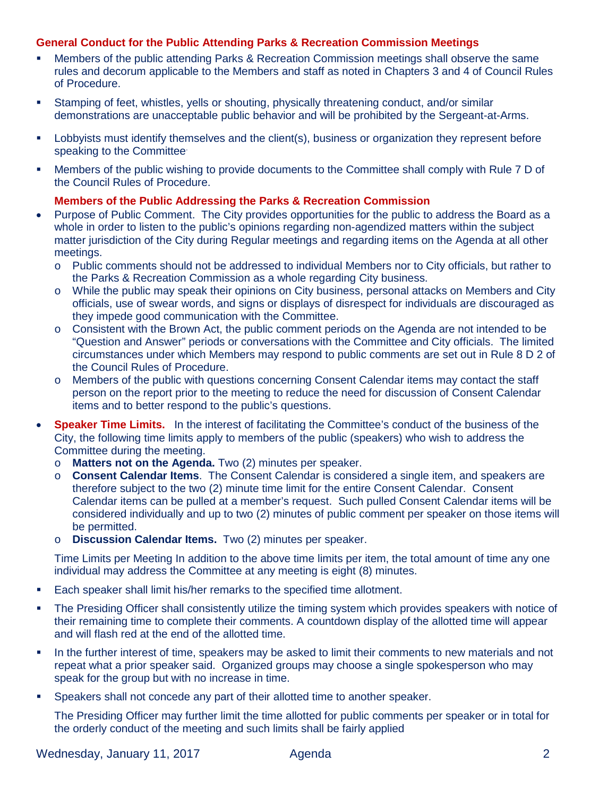#### **General Conduct for the Public Attending Parks & Recreation Commission Meetings**

- Members of the public attending Parks & Recreation Commission meetings shall observe the same rules and decorum applicable to the Members and staff as noted in Chapters 3 and 4 of Council Rules of Procedure.
- Stamping of feet, whistles, yells or shouting, physically threatening conduct, and/or similar demonstrations are unacceptable public behavior and will be prohibited by the Sergeant-at-Arms.
- Lobbyists must identify themselves and the client(s), business or organization they represent before speaking to the Committee.
- Members of the public wishing to provide documents to the Committee shall comply with Rule 7 D of the Council Rules of Procedure.

#### **Members of the Public Addressing the Parks & Recreation Commission**

- Purpose of Public Comment. The City provides opportunities for the public to address the Board as a whole in order to listen to the public's opinions regarding non-agendized matters within the subject matter jurisdiction of the City during Regular meetings and regarding items on the Agenda at all other meetings.
	- o Public comments should not be addressed to individual Members nor to City officials, but rather to the Parks & Recreation Commission as a whole regarding City business.
	- o While the public may speak their opinions on City business, personal attacks on Members and City officials, use of swear words, and signs or displays of disrespect for individuals are discouraged as they impede good communication with the Committee.
	- o Consistent with the Brown Act, the public comment periods on the Agenda are not intended to be "Question and Answer" periods or conversations with the Committee and City officials. The limited circumstances under which Members may respond to public comments are set out in Rule 8 D 2 of the Council Rules of Procedure.
	- o Members of the public with questions concerning Consent Calendar items may contact the staff person on the report prior to the meeting to reduce the need for discussion of Consent Calendar items and to better respond to the public's questions.
- **Speaker Time Limits.** In the interest of facilitating the Committee's conduct of the business of the City, the following time limits apply to members of the public (speakers) who wish to address the Committee during the meeting.
	- o **Matters not on the Agenda.** Two (2) minutes per speaker.
	- o **Consent Calendar Items**. The Consent Calendar is considered a single item, and speakers are therefore subject to the two (2) minute time limit for the entire Consent Calendar. Consent Calendar items can be pulled at a member's request. Such pulled Consent Calendar items will be considered individually and up to two (2) minutes of public comment per speaker on those items will be permitted.
	- o **Discussion Calendar Items.** Two (2) minutes per speaker.

Time Limits per Meeting In addition to the above time limits per item, the total amount of time any one individual may address the Committee at any meeting is eight (8) minutes.

- Each speaker shall limit his/her remarks to the specified time allotment.
- The Presiding Officer shall consistently utilize the timing system which provides speakers with notice of their remaining time to complete their comments. A countdown display of the allotted time will appear and will flash red at the end of the allotted time.
- In the further interest of time, speakers may be asked to limit their comments to new materials and not repeat what a prior speaker said. Organized groups may choose a single spokesperson who may speak for the group but with no increase in time.
- **Speakers shall not concede any part of their allotted time to another speaker.**

The Presiding Officer may further limit the time allotted for public comments per speaker or in total for the orderly conduct of the meeting and such limits shall be fairly applied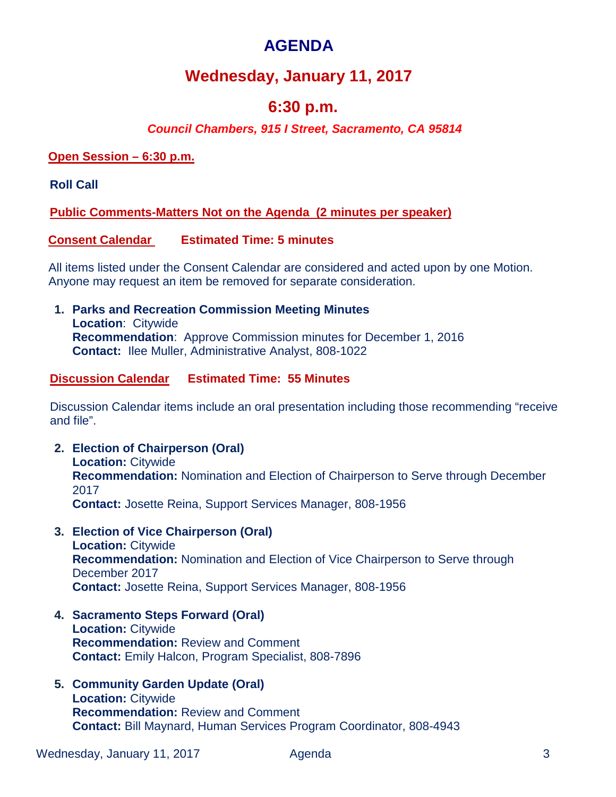# **AGENDA**

# **Wednesday, January 11, 2017**

# **6:30 p.m.**

### *Council Chambers, 915 I Street, Sacramento, CA 95814*

#### **Open Session – 6:30 p.m.**

**Roll Call** 

**Public Comments-Matters Not on the Agenda (2 minutes per speaker)**

#### **Consent Calendar Estimated Time: 5 minutes**

All items listed under the Consent Calendar are considered and acted upon by one Motion. Anyone may request an item be removed for separate consideration.

**1. Parks and Recreation Commission Meeting Minutes Location**: Citywide **Recommendation**: Approve Commission minutes for December 1, 2016 **Contact:** Ilee Muller, Administrative Analyst, 808-1022

#### **Discussion Calendar Estimated Time: 55 Minutes**

Discussion Calendar items include an oral presentation including those recommending "receive and file".

- **2. Election of Chairperson (Oral) Location:** Citywide **Recommendation:** Nomination and Election of Chairperson to Serve through December 2017 **Contact:** Josette Reina, Support Services Manager, 808-1956
- **3. Election of Vice Chairperson (Oral) Location:** Citywide **Recommendation:** Nomination and Election of Vice Chairperson to Serve through December 2017 **Contact:** Josette Reina, Support Services Manager, 808-1956
- **4. Sacramento Steps Forward (Oral) Location:** Citywide **Recommendation:** Review and Comment **Contact:** Emily Halcon, Program Specialist, 808-7896
- **5. Community Garden Update (Oral) Location:** Citywide **Recommendation:** Review and Comment **Contact:** Bill Maynard, Human Services Program Coordinator, 808-4943